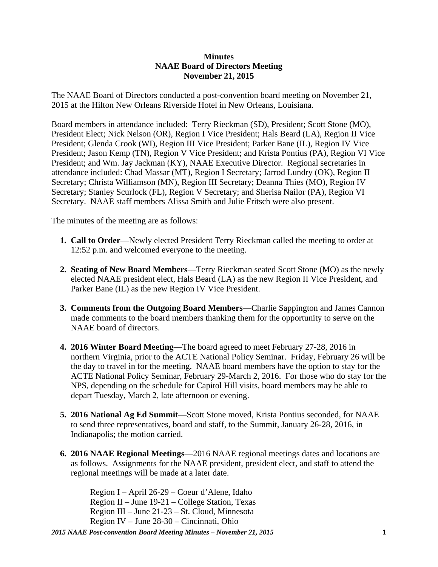## **Minutes NAAE Board of Directors Meeting November 21, 2015**

The NAAE Board of Directors conducted a post-convention board meeting on November 21, 2015 at the Hilton New Orleans Riverside Hotel in New Orleans, Louisiana.

Board members in attendance included: Terry Rieckman (SD), President; Scott Stone (MO), President Elect; Nick Nelson (OR), Region I Vice President; Hals Beard (LA), Region II Vice President; Glenda Crook (WI), Region III Vice President; Parker Bane (IL), Region IV Vice President; Jason Kemp (TN), Region V Vice President; and Krista Pontius (PA), Region VI Vice President; and Wm. Jay Jackman (KY), NAAE Executive Director. Regional secretaries in attendance included: Chad Massar (MT), Region I Secretary; Jarrod Lundry (OK), Region II Secretary; Christa Williamson (MN), Region III Secretary; Deanna Thies (MO), Region IV Secretary; Stanley Scurlock (FL), Region V Secretary; and Sherisa Nailor (PA), Region VI Secretary. NAAE staff members Alissa Smith and Julie Fritsch were also present.

The minutes of the meeting are as follows:

- **1. Call to Order**—Newly elected President Terry Rieckman called the meeting to order at 12:52 p.m. and welcomed everyone to the meeting.
- **2. Seating of New Board Members**—Terry Rieckman seated Scott Stone (MO) as the newly elected NAAE president elect, Hals Beard (LA) as the new Region II Vice President, and Parker Bane (IL) as the new Region IV Vice President.
- **3. Comments from the Outgoing Board Members**—Charlie Sappington and James Cannon made comments to the board members thanking them for the opportunity to serve on the NAAE board of directors.
- **4. 2016 Winter Board Meeting**—The board agreed to meet February 27-28, 2016 in northern Virginia, prior to the ACTE National Policy Seminar. Friday, February 26 will be the day to travel in for the meeting. NAAE board members have the option to stay for the ACTE National Policy Seminar, February 29-March 2, 2016. For those who do stay for the NPS, depending on the schedule for Capitol Hill visits, board members may be able to depart Tuesday, March 2, late afternoon or evening.
- **5. 2016 National Ag Ed Summit**—Scott Stone moved, Krista Pontius seconded, for NAAE to send three representatives, board and staff, to the Summit, January 26-28, 2016, in Indianapolis; the motion carried.
- **6. 2016 NAAE Regional Meetings**—2016 NAAE regional meetings dates and locations are as follows. Assignments for the NAAE president, president elect, and staff to attend the regional meetings will be made at a later date.

Region I – April 26-29 – Coeur d'Alene, Idaho Region II – June 19-21 – College Station, Texas Region III – June 21-23 – St. Cloud, Minnesota Region IV – June 28-30 – Cincinnati, Ohio

*2015 NAAE Post-convention Board Meeting Minutes – November 21, 2015* **1**